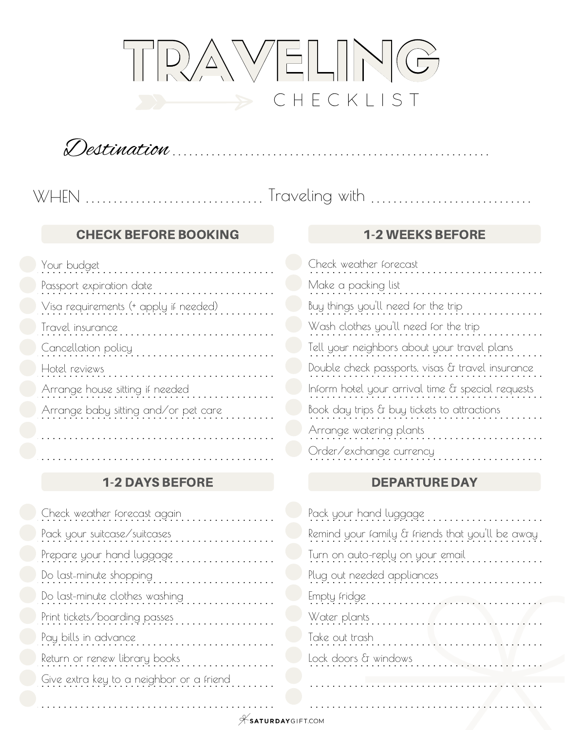

Destination . . . . . . . . . . . . . . . . . . . . . . . . . . . . . . . . . . . . . . . . . . . . . . . . . . . . . . . . .

#### . . . . . . . . . . . . . . . . . . . . . . . . . . . . . . . . .T.r. a. .v. e. .l.in. .g. . .w. .it.h. . . . . . . . . . . . . . . . . . . . . . . . . . . . . . . **WHEN**

#### **CHECK BEFORE BOOKING 4-2 WEEKS BEFORE**

| Your budget                           | Check weather forecast                            |
|---------------------------------------|---------------------------------------------------|
| Passport expiration date              | Make a packing list                               |
| Visa requirements (+ apply if needed) | Buy things you'll need for the trip               |
| Travel insurance                      | Wash clothes you'll need for the trip             |
| Cancellation policy                   | Tell your neighbors about your travel plans       |
| Hotel reviews                         | Double check passports, visas & travel insurance  |
| Arrange house sitting if needed       | Inform hotel your arrival time & special requests |
| Arrange baby sitting and/or pet care  | Book day trips & buy tickets to attractions       |
|                                       | Arrange watering plants                           |

## 1-2 DAYS BEFORE

| Check weather forecast again             | Pack your hand luggage                           |
|------------------------------------------|--------------------------------------------------|
| Pack your suitcase/suitcases             | Remind your family & friends that you'll be away |
| Prepare your hand luggage                | Turn on auto-reply on your email                 |
| Do last-minute shopping                  | Plug out needed appliances                       |
| Do last-minute clothes washing           |                                                  |
| Print tickets/boarding passes            | Water plants                                     |
| Pay bills in advance                     | Take out trash                                   |
| Return or renew library books            | Lock doors & windows                             |
| Give extra key to a neighbor or a friend |                                                  |
|                                          |                                                  |
|                                          |                                                  |

| Your budget                           | Check weather forecast                            |
|---------------------------------------|---------------------------------------------------|
| Passport expiration date              | Make a packing list                               |
| Visa requirements (+ apply if needed) | Buy things you'll need for the trip               |
| Travel insurance                      | Wash clothes you'll need for the trip             |
| Cancellation policy                   | Tell your neighbors about your travel plans       |
| Hotel reviews                         | Double check passports, visas & travel insurance  |
| Arrange house sitting if needed       | Inform hotel your arrival time & special requests |
| Arrange baby sitting and/or pet care  | Book day trips & buy tickets to attractions       |
|                                       | Arrange watering plants                           |
|                                       | Order/exchange currency                           |
|                                       |                                                   |

## DEPARTURE DAY

| Pack your hand luggage                           |
|--------------------------------------------------|
| Remind your family & friends that you'll be away |
| Turn on auto-reply on your email                 |
| Plug out needed appliances                       |
| Empty fridge                                     |
| Water plants                                     |
| Take out trash                                   |
| Lock doors & windows                             |
|                                                  |